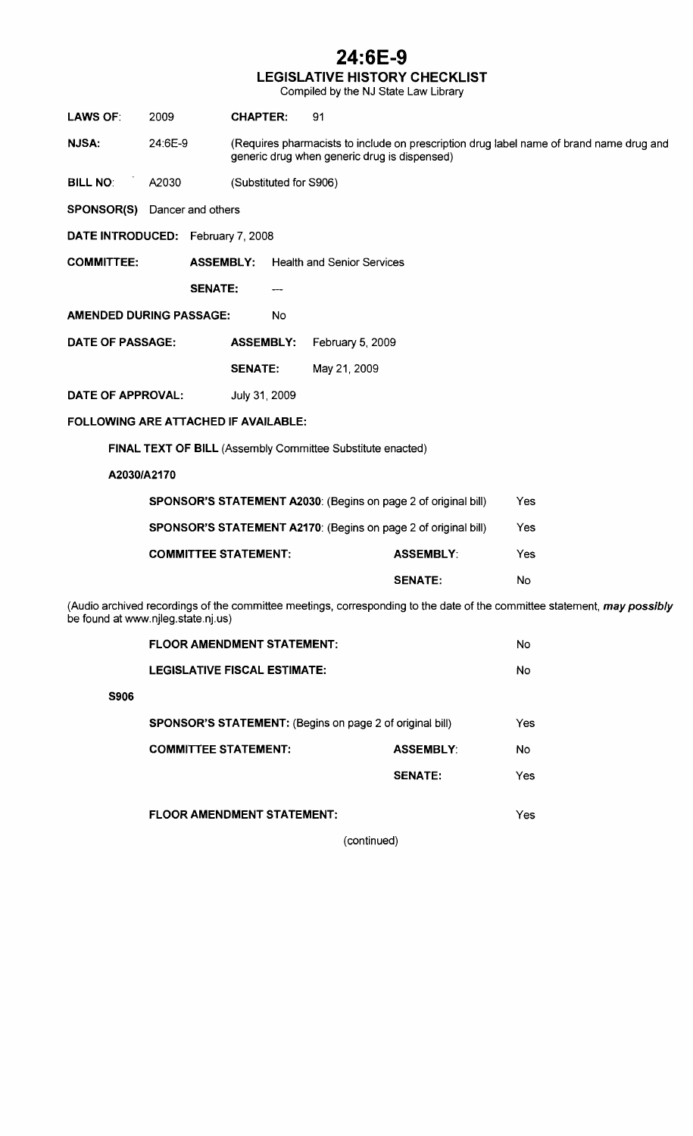### **24:6E-9**

#### LEGISLATIVE HISTORY CHECKLIST

Compiled by the NJ State Law Library

| <b>LAWS OF:</b>                                                                                                                                                | 2009                                | <b>CHAPTER:</b>                   | 91                                           |                  |                                                                                         |  |  |  |
|----------------------------------------------------------------------------------------------------------------------------------------------------------------|-------------------------------------|-----------------------------------|----------------------------------------------|------------------|-----------------------------------------------------------------------------------------|--|--|--|
| <b>NJSA:</b>                                                                                                                                                   | 24:6E-9                             |                                   | generic drug when generic drug is dispensed) |                  | (Requires pharmacists to include on prescription drug label name of brand name drug and |  |  |  |
| <b>BILL NO:</b>                                                                                                                                                | A2030                               | (Substituted for S906)            |                                              |                  |                                                                                         |  |  |  |
|                                                                                                                                                                | <b>SPONSOR(S)</b> Dancer and others |                                   |                                              |                  |                                                                                         |  |  |  |
|                                                                                                                                                                | DATE INTRODUCED: February 7, 2008   |                                   |                                              |                  |                                                                                         |  |  |  |
| <b>COMMITTEE:</b>                                                                                                                                              | <b>ASSEMBLY:</b>                    |                                   | <b>Health and Senior Services</b>            |                  |                                                                                         |  |  |  |
|                                                                                                                                                                | <b>SENATE:</b>                      |                                   |                                              |                  |                                                                                         |  |  |  |
| <b>AMENDED DURING PASSAGE:</b>                                                                                                                                 |                                     | No                                |                                              |                  |                                                                                         |  |  |  |
| DATE OF PASSAGE:                                                                                                                                               |                                     | <b>ASSEMBLY:</b>                  | February 5, 2009                             |                  |                                                                                         |  |  |  |
|                                                                                                                                                                |                                     | <b>SENATE:</b>                    | May 21, 2009                                 |                  |                                                                                         |  |  |  |
| DATE OF APPROVAL:                                                                                                                                              |                                     | July 31, 2009                     |                                              |                  |                                                                                         |  |  |  |
| FOLLOWING ARE ATTACHED IF AVAILABLE:                                                                                                                           |                                     |                                   |                                              |                  |                                                                                         |  |  |  |
| FINAL TEXT OF BILL (Assembly Committee Substitute enacted)                                                                                                     |                                     |                                   |                                              |                  |                                                                                         |  |  |  |
| A2030/A2170                                                                                                                                                    |                                     |                                   |                                              |                  |                                                                                         |  |  |  |
| SPONSOR'S STATEMENT A2030: (Begins on page 2 of original bill)                                                                                                 |                                     |                                   |                                              |                  | Yes                                                                                     |  |  |  |
| <b>SPONSOR'S STATEMENT A2170: (Begins on page 2 of original bill)</b>                                                                                          |                                     |                                   |                                              |                  | Yes                                                                                     |  |  |  |
|                                                                                                                                                                | <b>COMMITTEE STATEMENT:</b>         |                                   |                                              | <b>ASSEMBLY:</b> | Yes                                                                                     |  |  |  |
|                                                                                                                                                                |                                     |                                   |                                              | <b>SENATE:</b>   | No                                                                                      |  |  |  |
| (Audio archived recordings of the committee meetings, corresponding to the date of the committee statement, may possibly<br>be found at www.njleg.state.nj.us) |                                     |                                   |                                              |                  |                                                                                         |  |  |  |
|                                                                                                                                                                |                                     | <b>FLOOR AMENDMENT STATEMENT:</b> |                                              |                  | No                                                                                      |  |  |  |

|             | I LUUR AIVILIVUITEIN JIATEITIEINI.                              |                  | טויו |
|-------------|-----------------------------------------------------------------|------------------|------|
|             | <b>LEGISLATIVE FISCAL ESTIMATE:</b>                             |                  | No   |
| <b>S906</b> |                                                                 |                  |      |
|             | <b>SPONSOR'S STATEMENT:</b> (Begins on page 2 of original bill) |                  |      |
|             | <b>COMMITTEE STATEMENT:</b>                                     | <b>ASSEMBLY:</b> | No.  |
|             |                                                                 | <b>SENATE:</b>   | Yes  |
|             |                                                                 |                  |      |
|             | <b>FLOOR AMENDMENT STATEMENT:</b>                               |                  | Yes  |

(continued)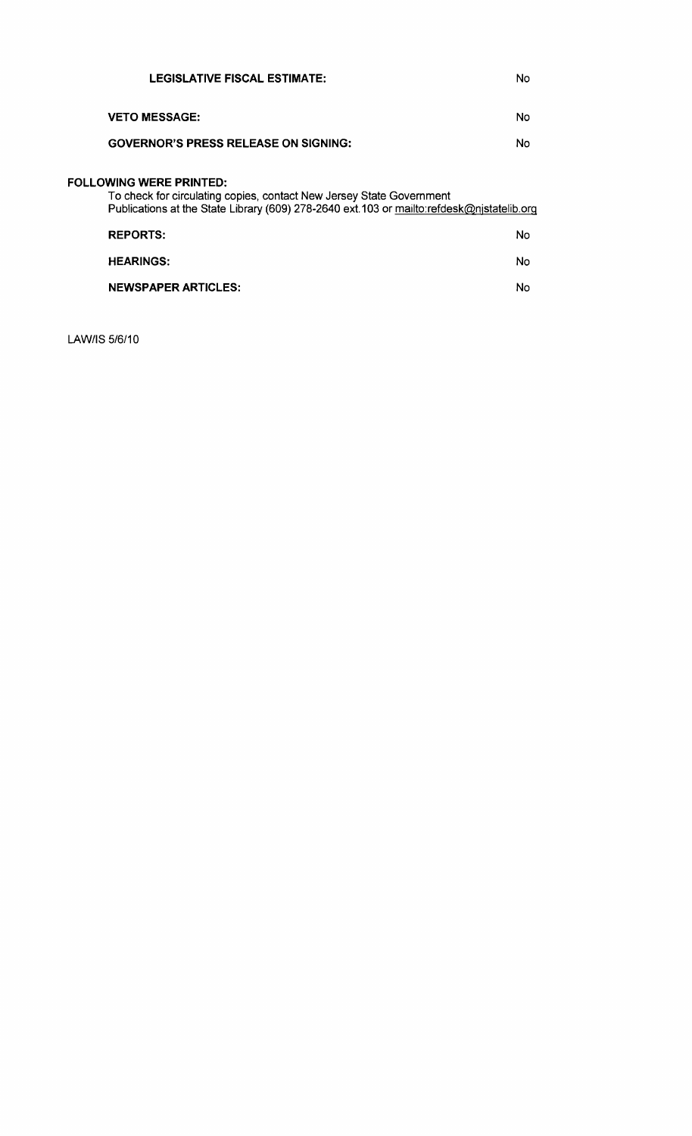| <b>LEGISLATIVE FISCAL ESTIMATE:</b>                                                                                                                                                                 | No |
|-----------------------------------------------------------------------------------------------------------------------------------------------------------------------------------------------------|----|
| <b>VETO MESSAGE:</b>                                                                                                                                                                                | No |
| <b>GOVERNOR'S PRESS RELEASE ON SIGNING:</b>                                                                                                                                                         | No |
| <b>FOLLOWING WERE PRINTED:</b><br>To check for circulating copies, contact New Jersey State Government<br>Publications at the State Library (609) 278-2640 ext.103 or mailto:refdesk@njstatelib.org |    |
| <b>REPORTS:</b>                                                                                                                                                                                     | No |
| <b>HEARINGS:</b>                                                                                                                                                                                    | No |
| <b>NEWSPAPER ARTICLES:</b>                                                                                                                                                                          | No |

LAW/IS 5/6/10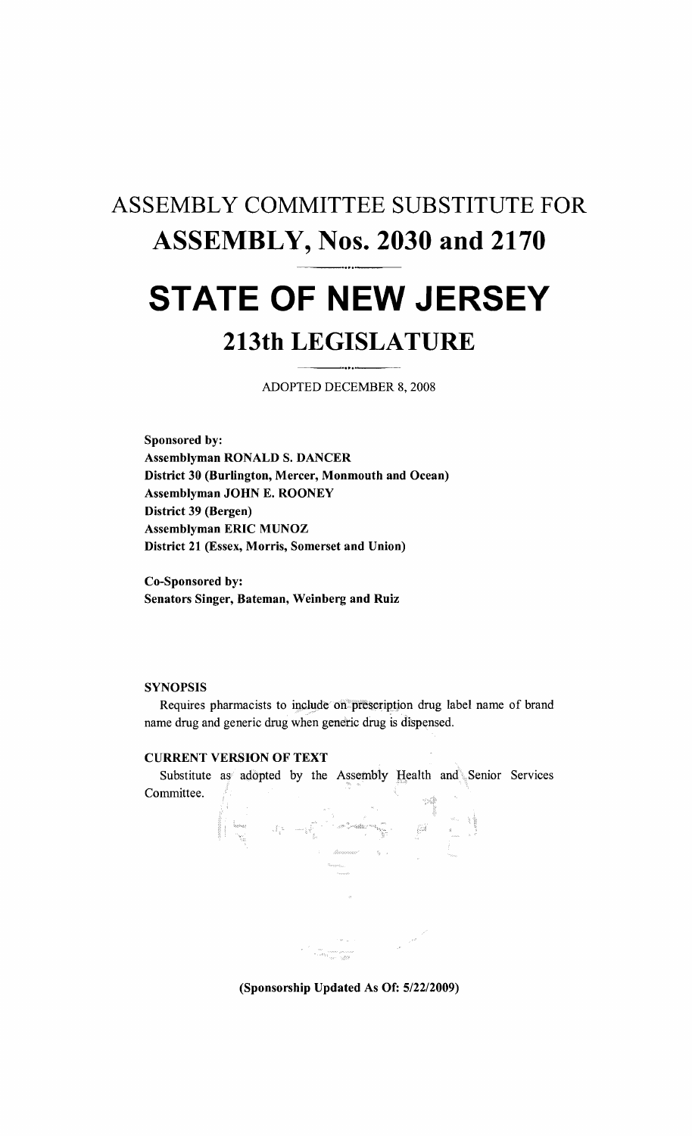# ASSEMBLY COMMITTEE SUBSTITUTE FOR **ASSEMBLY, Nos. 2030 and 2170 STATE OF NEW JERSEY**

# **213th LEGISLATURE**

ADOPTED DECEMBER 8, 2008

Sponsored by: Assemblyman RONALD S. DANCER District 30 (Burlington, Mercer, Monmouth and Ocean) Assemblyman JOHN E. ROONEY District 39 (Bergen) Assemblyman ERIC MUNOZ District 21 (Essex, Morris, Somerset and Union)

Co-Sponsored by: Senators Singer, Bateman, Weinberg and Ruiz

#### **SYNOPSIS**

Requires pharmacists to include on prescription drug label name of brand name drug and generic drug when generic drug is dispensed.

#### CURRENT VERSION OF TEXT

Substitute as adopted by the Assembly Health and Senior Services Committee.



(Sponsorship Updated As Of: 5/22/2009)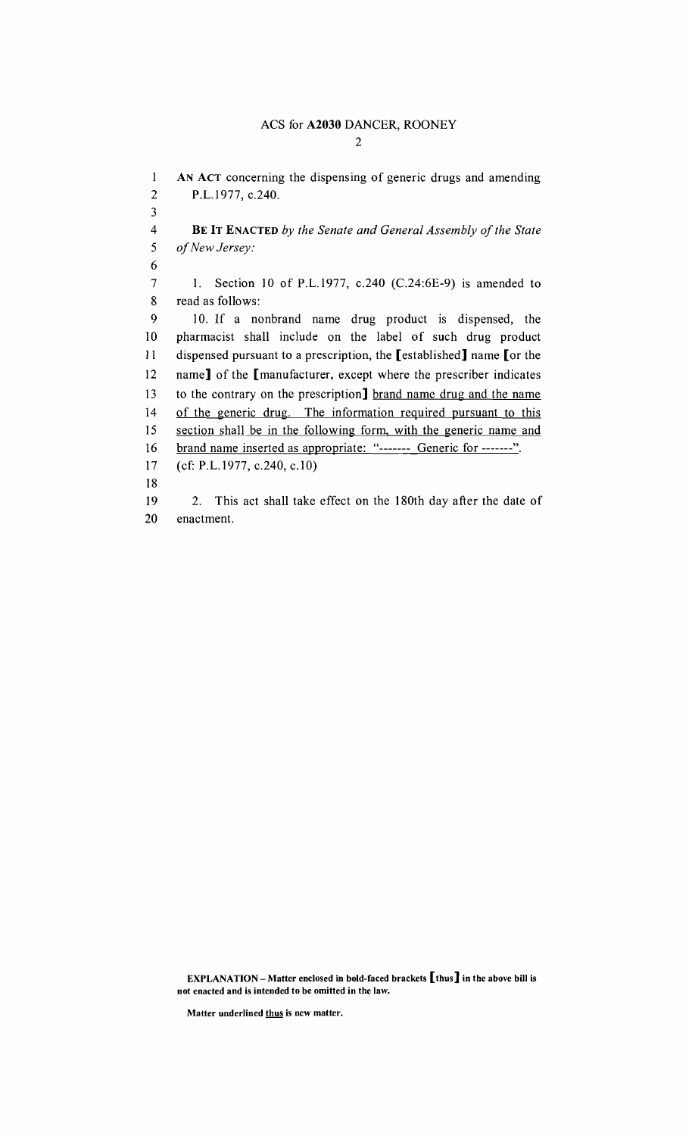1 AN ACT concerning the dispensing of generic drugs and amending 2 P.L.I977, c.240. 3 4 **BE IT ENACTED** by the Senate and General Assembly of the State 5 of New Jersey: 6 7 1. Section 10 of P.L.I977, c.240 (C.24:6E-9) is amended to 8 read as follows: 9 10. If a nonbrand name drug product is dispensed, the 10 pharmacist shall include on the label of such drug product 11 dispensed pursuant to a prescription, the [established] name [or the 12 name] of the [manufacturer, except where the prescriber indicates 13 to the contrary on the prescription] brand name drug and the name 14 of the generic drug. The information required pursuant to this 15 section shall be in the following form, with the generic name and 16 brand name inserted as appropriate: "------- Generic for -------". 17 (cf: P.L.I977, c.240, c.IO) 18 19 2. This act shall take effect on the 180th day after the date of 20 enactment.

EXPLANATION - Matter enclosed in bold-faced brackets  $\lbrack$  thus  $\rbrack$  in the above bill is not enacted and is intended to be omitted in the law.

Matter underlined thus is new matter.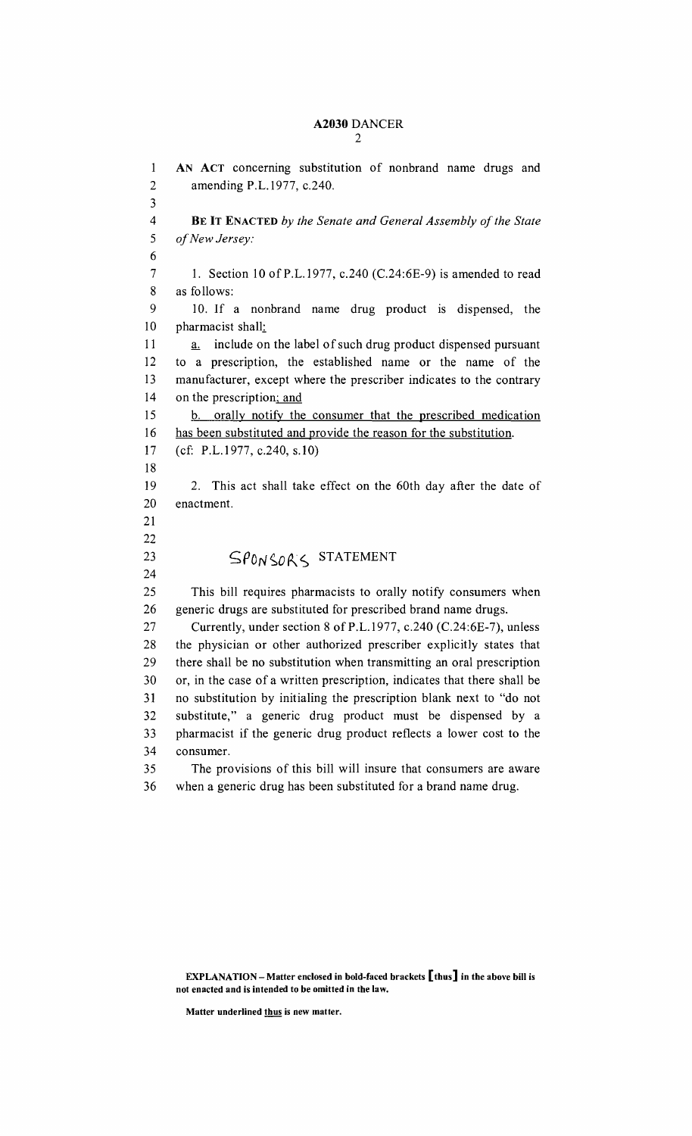#### A2030 DANCER 2

1 AN ACT concerning substitution of nonbrand name drugs and 2 amending P.L.1977, c.240. 3 4 BE IT ENACTED by the Senate and General Assembly of the State *5 ofNew Jersey:*  6 7 1. Section 10 of P.L.1977, c.240 (C.24:6E-9) is amended to read 8 as follows: 9 10. If a nonbrand name drug product is dispensed, the 10 pharmacist shall: 11 a. include on the label of such drug product dispensed pursuant 12 to a prescription, the established name or the name of the 13 manufacturer, except where the prescriber indicates to the contrary 14 on the prescription; and 15 b. orally notify the consumer that the prescribed medication 16 has been substituted and provide the reason for the substitution. 17 (cf: P.L.1977, c.240, s.lO) 18 19 2. This act shall take effect on the 60th day after the date of 20 enactment. 21 22 23 SPONSOR'S STATEMENT 24 25 This bill requires pharmacists to orally notify consumers when 26 generic drugs are substituted for prescribed brand name drugs. 27 Currently, under section 8 of P.L.1977, c.240 (C.24:6E-7), unless 28 the physician or other authorized prescriber explicitly states that 29 there shall be no substitution when transmitting an oral prescription 30 or, in the case of a written prescription, indicates that there shall be 31 no substitution by initialing the prescription blank next to "do not 32 substitute," a generic drug product must be dispensed by a 33 pharmacist if the generic drug product reflects a lower cost to the 34 consumer. 35 The provisions of this bill will insure that consumers are aware 36 when a generic drug has been substituted for a brand name drug.

EXPLANATION - Matter enclosed in bold-faced brackets  $\llbracket$  thus  $\rrbracket$  in the above bill is not enacted and is intended to be omitted in the law.

Matter underlined thus is new matter.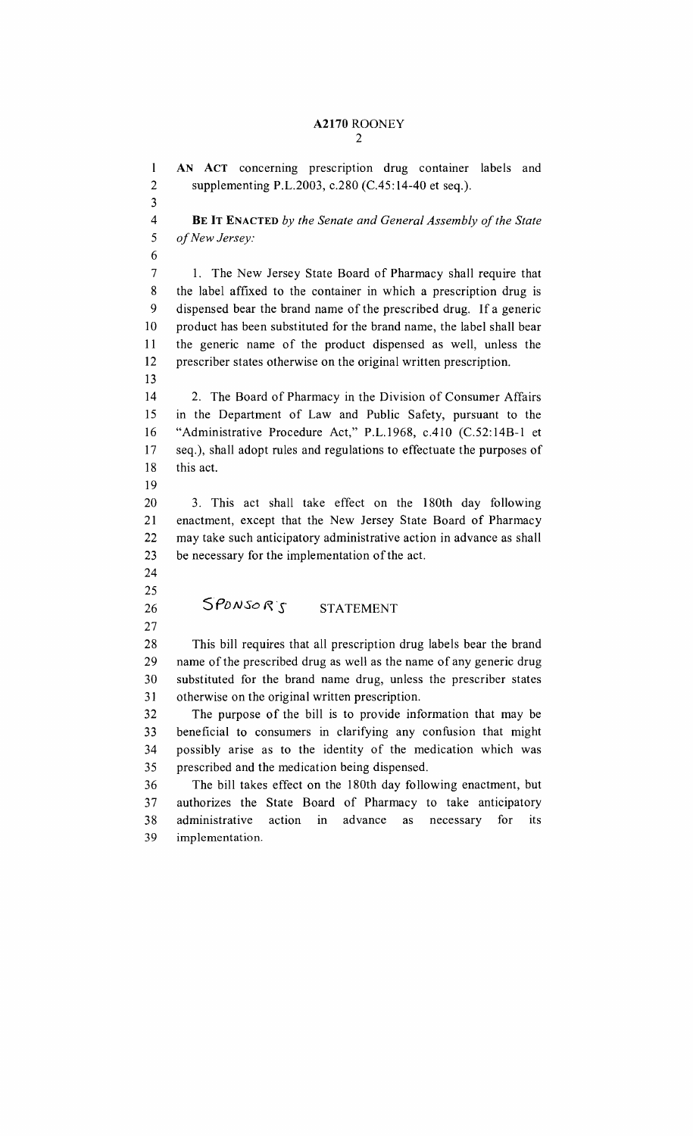#### A2170 ROONEY 2

1 AN ACT concerning prescription drug container labels and 2 supplementing P.L.2003, c.280 (C.45:14-40 et seq.). 3 4 **BE IT ENACTED** by the Senate and General Assembly of the State 5 *ofNew Jersey:*  6 7 1. The New Jersey State Board of Pharmacy shall require that 8 the label affixed to the container in which a prescription drug is 9 dispensed bear the brand name of the prescribed drug. If a generic 10 product has been substituted for the brand name, the label shall bear 11 the generic name of the product dispensed as well, unless the 12 prescriber states otherwise on the original written prescription. 13 14 2. The Board of Pharmacy in the Division of Consumer Affairs 15 in the Department of Law and Public Safety, pursuant to the 16 "Administrative Procedure Act," P.L.1968, cAlO (C.52:14B-l et 17 seq.), shall adopt rules and regulations to effectuate the purposes of 18 this act. 19 20 3. This act shall take effect on the 180th day following 21 enactment, except that the New Jersey State Board of Pharmacy 22 may take such anticipatory administrative action in advance as shall 23 be necessary for the implementation of the act. 24 25 26  $SPONSORS$  STATEMENT 27 28 This bill requires that all prescription drug labels bear the brand 29 name of the prescribed drug as well as the name of any generic drug 30 substituted for the brand name drug, unless the prescriber states 31 otherwise on the original written prescription. 32 The purpose of the bill is to provide information that may be 33 beneficial to consumers in clarifying any confusion that might 34 possibly arise as to the identity of the medication which was 35 prescribed and the medication being dispensed. 36 The bill takes effect on the 180th day fo llowing enactment, but 37 authorizes the State Board of Pharmacy to take anticipatory 38 administrative action in advance as necessary for its 39 implementation.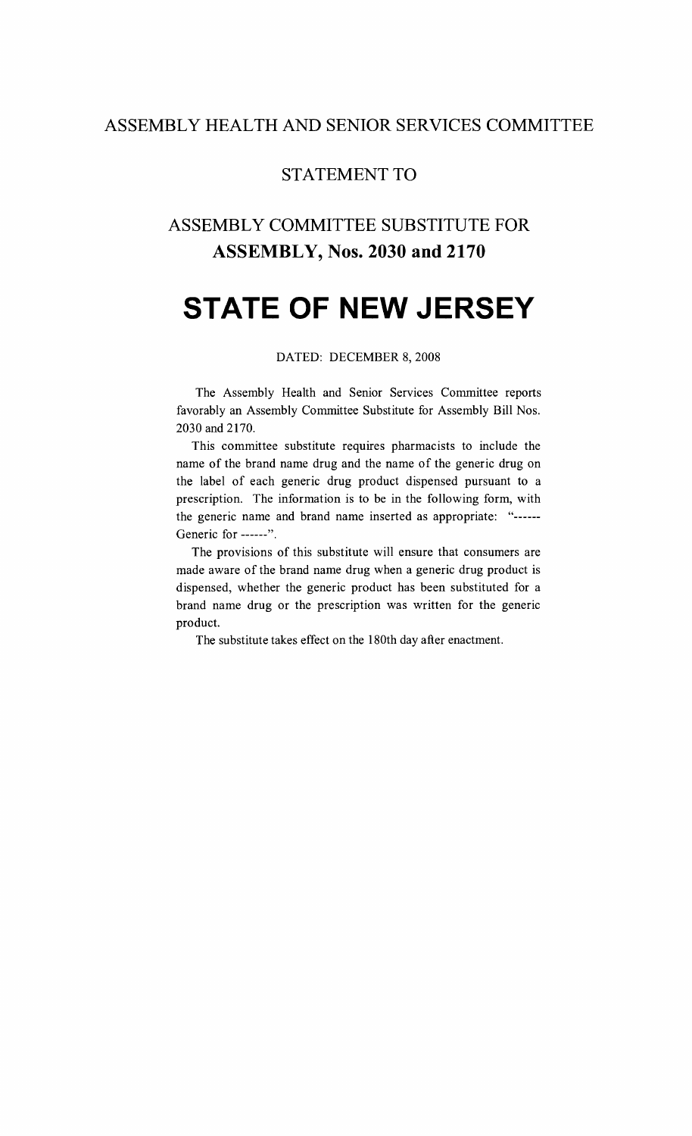#### **ASSEMBLY HEALTH AND SENIOR SERVICES COMMITTEE**

#### **STATEMENT TO**

### **ASSEMBLY COMMITTEE SUBSTITUTE FOR ASSEMBLY, Nos. 2030 and 2170**

# **STATE OF NEW JERSEY**

#### DATED: DECEMBER 8, 2008

The Assembly Health and Senior Services Committee reports favorably an Assembly Committee Substitute for Assembly Bill Nos. 2030 and 2170.

This committee substitute requires pharmacists to include the name of the brand name drug and the name of the generic drug on the label of each generic drug product dispensed pursuant to a prescription. The information is to be in the following form, with the generic name and brand name inserted as appropriate: "------Generic for ------".

The provisions of this substitute will ensure that consumers are made aware of the brand name drug when a generic drug product is dispensed, whether the generic product has been substituted for a brand name drug or the prescription was written for the generic product.

The substitute takes effect on the 180th day after enactment.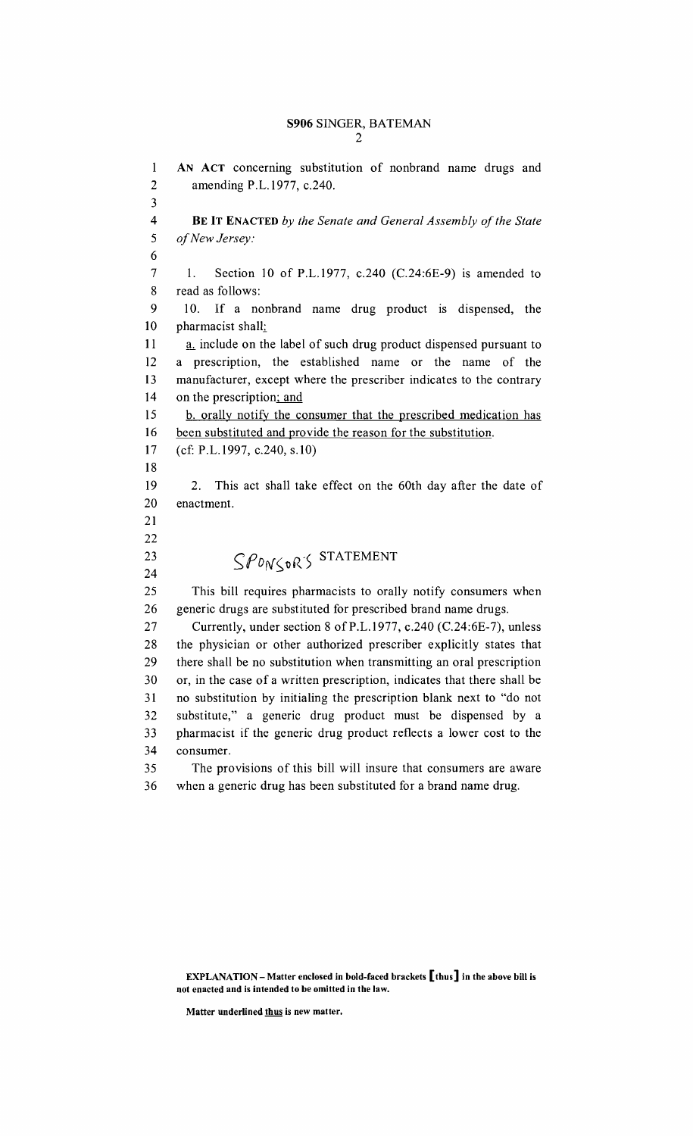#### S906 SINGER, BATEMAN 2

1 AN ACT concerning substitution of nonbrand name drugs and 2 amending P.L.1977, c.240. 3 4 BE IT ENACTED *by the Senate and General Assembly of the State*  5 *ofNew Jersey:*  6 7 1. Section 10 of P.L.1977, c.240 (C.24:6E-9) is amended to 8 read as follows: 9 10. If a nonbrand name drug product is dispensed, the 10 pharmacist shall: 11 a. include on the label of such drug product dispensed pursuant to 12 a prescription, the established name or the name of the 13 manufacturer, except where the prescriber indicates to the contrary 14 on the prescription; and 15 b. orally notify the consumer that the prescribed medication has 16 been substituted and provide the reason for the substitution. 17 (cf: P.L.1997, c.240, s.10) 18 19 2. This act shall take effect on the 60th day after the date of 20 enactment. 21 22 23  $SPON\left\{vR\right\}$  STATEMENT 24 25 This bill requires pharmacists to orally notify consumers when 26 generic drugs are substituted for prescribed brand name drugs. 27 Currently, under section 8 of P.L.1977, c.240 (C.24:6E-7), unless 28 the physician or other authorized prescriber explicitly states that 29 there shall be no substitution when transmitting an oral prescription 30 or, in the case of a written prescription, indicates that there shall be 31 no substitution by initialing the prescription blank next to "do not 32 substitute," a generic drug product must be dispensed by a 33 pharmacist if the generic drug product reflects a lower cost to the 34 consumer. 35 The provisions of this bill will insure that consumers are aware 36 when a generic drug has been substituted for a brand name drug.

EXPLANATION - Matter enclosed in bold-faced brackets  $\llbracket$  thus  $\rrbracket$  in the above bill is not enacted and is intended to be omitted in the law.

Matter underlined thus is new matter.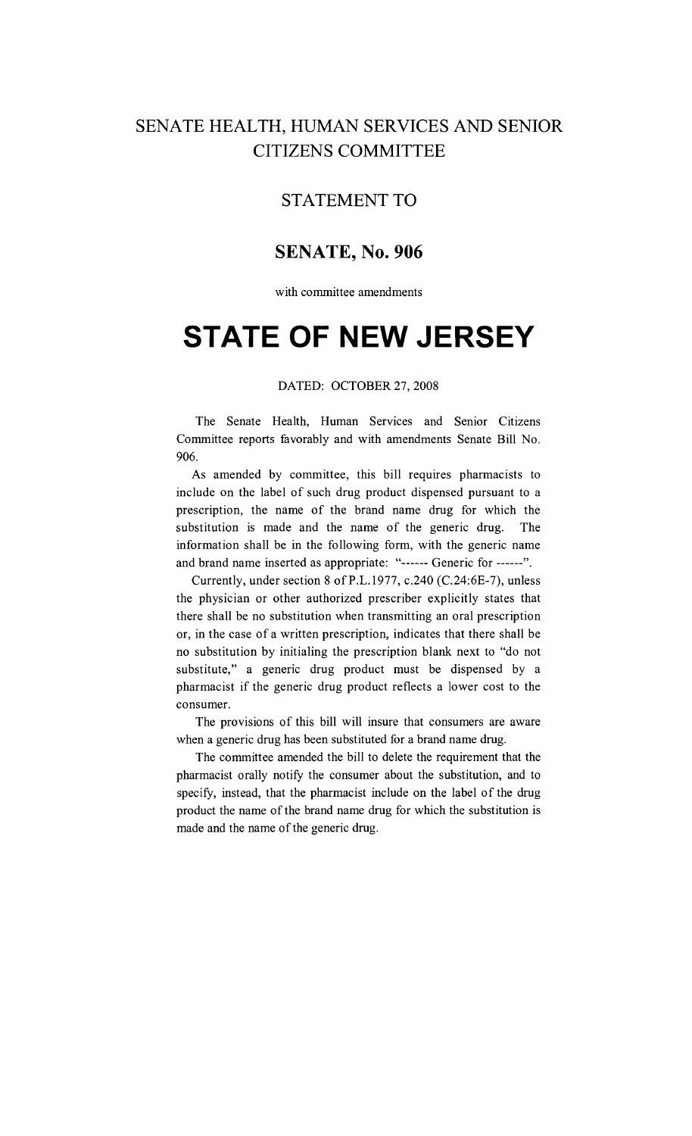### SENATE HEALTH, HUMAN SERVICES AND SENIOR CITIZENS COMMITTEE

#### STATEMENT TO

#### **SENATE, No. 906**

with committee amendments

# **STATE OF NEW JERSEY**

#### DATED: OCTOBER 27,2008

The Senate Health, Human Services and Senior Citizens Committee reports favorably and with amendments Senate Bill No. 906.

As amended by committee, this bill requires pharmacists to include on the label of such drug product dispensed pursuant to a prescription, the name of the brand name drug for which the substitution is made and the name of the generic drug. The information shall be in the following form, with the generic name and brand name inserted as appropriate: "------ Generic for ------".

Currently, under section 8 ofP.L.1977, c.240 (C.24:6E-7), unless the physician or other authorized prescriber explicitly states that there shall be no substitution when transmitting an oral prescription or, in the case of a written prescription, indicates that there shall be no substitution by initialing the prescription blank next to "do not substitute," a generic drug product must be dispensed by a pharmacist if the generic drug product reflects a lower cost to the consumer.

The provisions of this bill will insure that consumers are aware when a generic drug has been substituted for a brand name drug.

The committee amended the bill to delete the requirement that the pharmacist orally notify the consumer about the substitution, and to specify, instead, that the pharmacist include on the label of the drug product the name of the brand name drug for which the substitution is made and the name of the generic drug.